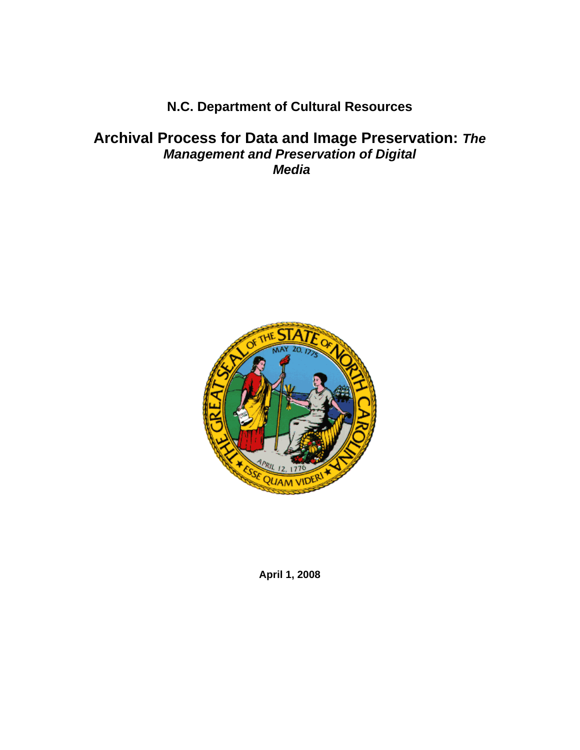# **N.C. Department of Cultural Resources**

## **Archival Process for Data and Image Preservation:** *The Management and Preservation of Digital Media*



**April 1, 2008**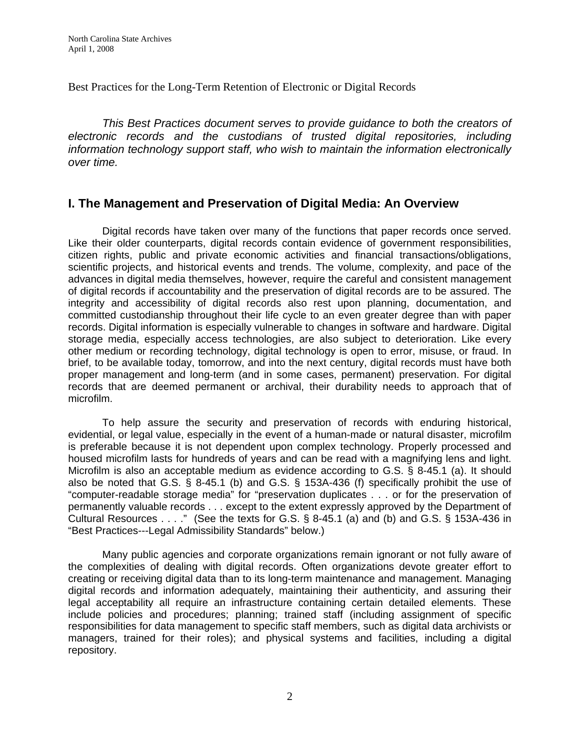Best Practices for the Long-Term Retention of Electronic or Digital Records

*This Best Practices document serves to provide guidance to both the creators of electronic records and the custodians of trusted digital repositories, including information technology support staff, who wish to maintain the information electronically over time.* 

## **I. The Management and Preservation of Digital Media: An Overview**

Digital records have taken over many of the functions that paper records once served. Like their older counterparts, digital records contain evidence of government responsibilities, citizen rights, public and private economic activities and financial transactions/obligations, scientific projects, and historical events and trends. The volume, complexity, and pace of the advances in digital media themselves, however, require the careful and consistent management of digital records if accountability and the preservation of digital records are to be assured. The integrity and accessibility of digital records also rest upon planning, documentation, and committed custodianship throughout their life cycle to an even greater degree than with paper records. Digital information is especially vulnerable to changes in software and hardware. Digital storage media, especially access technologies, are also subject to deterioration. Like every other medium or recording technology, digital technology is open to error, misuse, or fraud. In brief, to be available today, tomorrow, and into the next century, digital records must have both proper management and long-term (and in some cases, permanent) preservation. For digital records that are deemed permanent or archival, their durability needs to approach that of microfilm.

 To help assure the security and preservation of records with enduring historical, evidential, or legal value, especially in the event of a human-made or natural disaster, microfilm is preferable because it is not dependent upon complex technology. Properly processed and housed microfilm lasts for hundreds of years and can be read with a magnifying lens and light. Microfilm is also an acceptable medium as evidence according to G.S. § 8-45.1 (a). It should also be noted that G.S. § 8-45.1 (b) and G.S. § 153A-436 (f) specifically prohibit the use of "computer-readable storage media" for "preservation duplicates . . . or for the preservation of permanently valuable records . . . except to the extent expressly approved by the Department of Cultural Resources . . . ." (See the texts for G.S. § 8-45.1 (a) and (b) and G.S. § 153A-436 in "Best Practices---Legal Admissibility Standards" below.)

Many public agencies and corporate organizations remain ignorant or not fully aware of the complexities of dealing with digital records. Often organizations devote greater effort to creating or receiving digital data than to its long-term maintenance and management. Managing digital records and information adequately, maintaining their authenticity, and assuring their legal acceptability all require an infrastructure containing certain detailed elements. These include policies and procedures; planning; trained staff (including assignment of specific responsibilities for data management to specific staff members, such as digital data archivists or managers, trained for their roles); and physical systems and facilities, including a digital repository.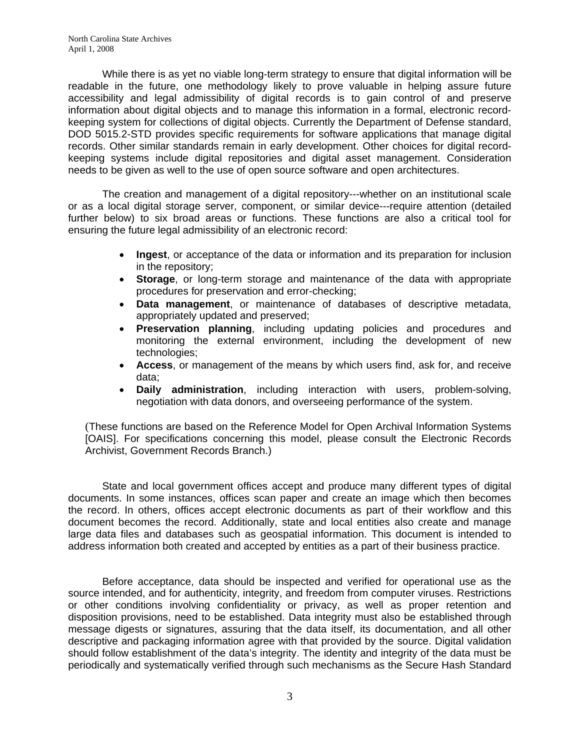While there is as yet no viable long-term strategy to ensure that digital information will be readable in the future, one methodology likely to prove valuable in helping assure future accessibility and legal admissibility of digital records is to gain control of and preserve information about digital objects and to manage this information in a formal, electronic recordkeeping system for collections of digital objects. Currently the Department of Defense standard, DOD 5015.2-STD provides specific requirements for software applications that manage digital records. Other similar standards remain in early development. Other choices for digital recordkeeping systems include digital repositories and digital asset management. Consideration needs to be given as well to the use of open source software and open architectures.

The creation and management of a digital repository---whether on an institutional scale or as a local digital storage server, component, or similar device---require attention (detailed further below) to six broad areas or functions. These functions are also a critical tool for ensuring the future legal admissibility of an electronic record:

- **Ingest**, or acceptance of the data or information and its preparation for inclusion in the repository;
- **Storage**, or long-term storage and maintenance of the data with appropriate procedures for preservation and error-checking;
- **Data management**, or maintenance of databases of descriptive metadata, appropriately updated and preserved;
- **Preservation planning**, including updating policies and procedures and monitoring the external environment, including the development of new technologies;
- **Access**, or management of the means by which users find, ask for, and receive data;
- **Daily administration**, including interaction with users, problem-solving, negotiation with data donors, and overseeing performance of the system.

(These functions are based on the Reference Model for Open Archival Information Systems [OAIS]. For specifications concerning this model, please consult the Electronic Records Archivist, Government Records Branch.)

State and local government offices accept and produce many different types of digital documents. In some instances, offices scan paper and create an image which then becomes the record. In others, offices accept electronic documents as part of their workflow and this document becomes the record. Additionally, state and local entities also create and manage large data files and databases such as geospatial information. This document is intended to address information both created and accepted by entities as a part of their business practice.

Before acceptance, data should be inspected and verified for operational use as the source intended, and for authenticity, integrity, and freedom from computer viruses. Restrictions or other conditions involving confidentiality or privacy, as well as proper retention and disposition provisions, need to be established. Data integrity must also be established through message digests or signatures, assuring that the data itself, its documentation, and all other descriptive and packaging information agree with that provided by the source. Digital validation should follow establishment of the data's integrity. The identity and integrity of the data must be periodically and systematically verified through such mechanisms as the Secure Hash Standard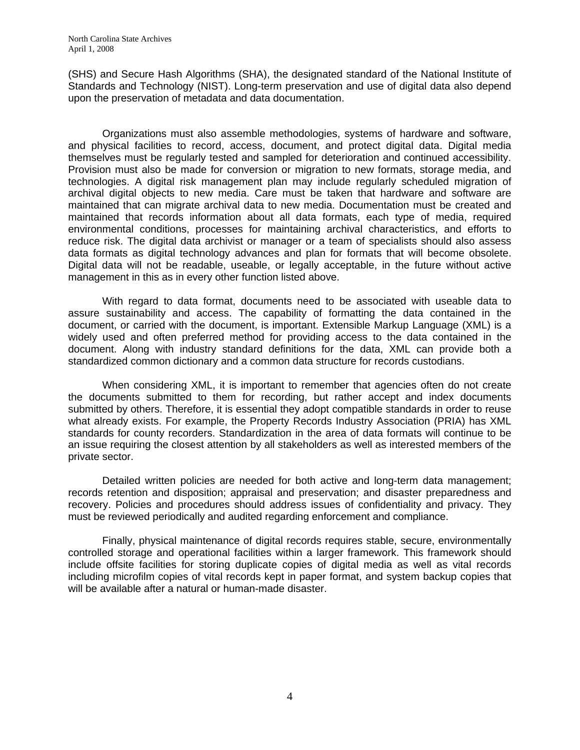(SHS) and Secure Hash Algorithms (SHA), the designated standard of the National Institute of Standards and Technology (NIST). Long-term preservation and use of digital data also depend upon the preservation of metadata and data documentation.

Organizations must also assemble methodologies, systems of hardware and software, and physical facilities to record, access, document, and protect digital data. Digital media themselves must be regularly tested and sampled for deterioration and continued accessibility. Provision must also be made for conversion or migration to new formats, storage media, and technologies. A digital risk management plan may include regularly scheduled migration of archival digital objects to new media. Care must be taken that hardware and software are maintained that can migrate archival data to new media. Documentation must be created and maintained that records information about all data formats, each type of media, required environmental conditions, processes for maintaining archival characteristics, and efforts to reduce risk. The digital data archivist or manager or a team of specialists should also assess data formats as digital technology advances and plan for formats that will become obsolete. Digital data will not be readable, useable, or legally acceptable, in the future without active management in this as in every other function listed above.

With regard to data format, documents need to be associated with useable data to assure sustainability and access. The capability of formatting the data contained in the document, or carried with the document, is important. Extensible Markup Language (XML) is a widely used and often preferred method for providing access to the data contained in the document. Along with industry standard definitions for the data, XML can provide both a standardized common dictionary and a common data structure for records custodians.

When considering XML, it is important to remember that agencies often do not create the documents submitted to them for recording, but rather accept and index documents submitted by others. Therefore, it is essential they adopt compatible standards in order to reuse what already exists. For example, the Property Records Industry Association (PRIA) has XML standards for county recorders. Standardization in the area of data formats will continue to be an issue requiring the closest attention by all stakeholders as well as interested members of the private sector.

Detailed written policies are needed for both active and long-term data management; records retention and disposition; appraisal and preservation; and disaster preparedness and recovery. Policies and procedures should address issues of confidentiality and privacy. They must be reviewed periodically and audited regarding enforcement and compliance.

Finally, physical maintenance of digital records requires stable, secure, environmentally controlled storage and operational facilities within a larger framework. This framework should include offsite facilities for storing duplicate copies of digital media as well as vital records including microfilm copies of vital records kept in paper format, and system backup copies that will be available after a natural or human-made disaster.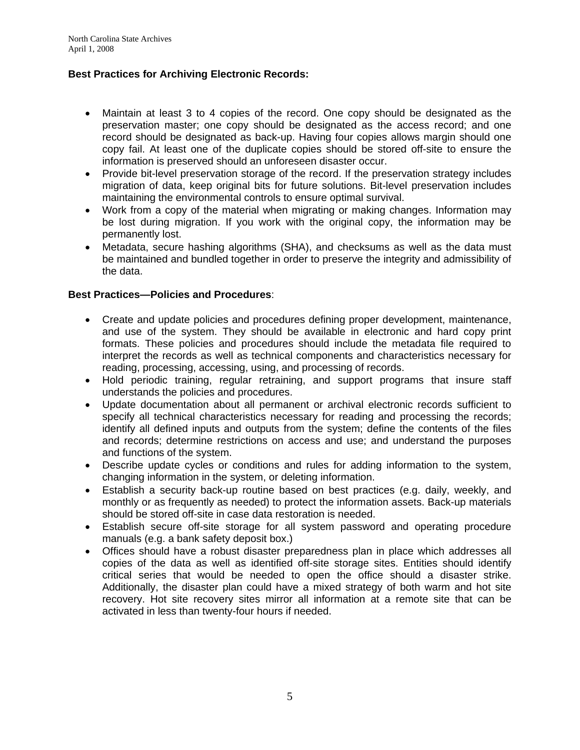## **Best Practices for Archiving Electronic Records:**

- Maintain at least 3 to 4 copies of the record. One copy should be designated as the preservation master; one copy should be designated as the access record; and one record should be designated as back-up. Having four copies allows margin should one copy fail. At least one of the duplicate copies should be stored off-site to ensure the information is preserved should an unforeseen disaster occur.
- Provide bit-level preservation storage of the record. If the preservation strategy includes migration of data, keep original bits for future solutions. Bit-level preservation includes maintaining the environmental controls to ensure optimal survival.
- Work from a copy of the material when migrating or making changes. Information may be lost during migration. If you work with the original copy, the information may be permanently lost.
- Metadata, secure hashing algorithms (SHA), and checksums as well as the data must be maintained and bundled together in order to preserve the integrity and admissibility of the data.

### **Best Practices—Policies and Procedures**:

- Create and update policies and procedures defining proper development, maintenance, and use of the system. They should be available in electronic and hard copy print formats. These policies and procedures should include the metadata file required to interpret the records as well as technical components and characteristics necessary for reading, processing, accessing, using, and processing of records.
- Hold periodic training, regular retraining, and support programs that insure staff understands the policies and procedures.
- Update documentation about all permanent or archival electronic records sufficient to specify all technical characteristics necessary for reading and processing the records; identify all defined inputs and outputs from the system; define the contents of the files and records; determine restrictions on access and use; and understand the purposes and functions of the system.
- Describe update cycles or conditions and rules for adding information to the system, changing information in the system, or deleting information.
- Establish a security back-up routine based on best practices (e.g. daily, weekly, and monthly or as frequently as needed) to protect the information assets. Back-up materials should be stored off-site in case data restoration is needed.
- Establish secure off-site storage for all system password and operating procedure manuals (e.g. a bank safety deposit box.)
- Offices should have a robust disaster preparedness plan in place which addresses all copies of the data as well as identified off-site storage sites. Entities should identify critical series that would be needed to open the office should a disaster strike. Additionally, the disaster plan could have a mixed strategy of both warm and hot site recovery. Hot site recovery sites mirror all information at a remote site that can be activated in less than twenty-four hours if needed.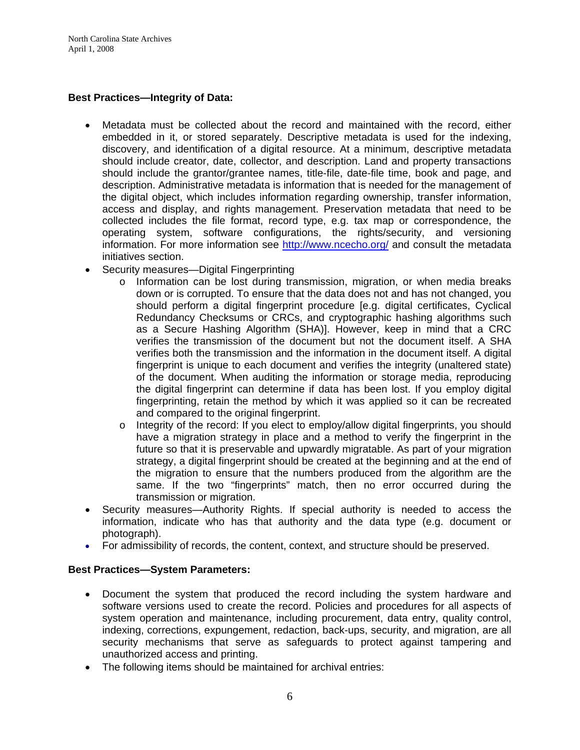### **Best Practices—Integrity of Data:**

- Metadata must be collected about the record and maintained with the record, either embedded in it, or stored separately. Descriptive metadata is used for the indexing, discovery, and identification of a digital resource. At a minimum, descriptive metadata should include creator, date, collector, and description. Land and property transactions should include the grantor/grantee names, title-file, date-file time, book and page, and description. Administrative metadata is information that is needed for the management of the digital object, which includes information regarding ownership, transfer information, access and display, and rights management. Preservation metadata that need to be collected includes the file format, record type, e.g. tax map or correspondence, the operating system, software configurations, the rights/security, and versioning information. For more information see <http://www.ncecho.org/> and consult the metadata initiatives section.
- Security measures—Digital Fingerprinting
	- o Information can be lost during transmission, migration, or when media breaks down or is corrupted. To ensure that the data does not and has not changed, you should perform a digital fingerprint procedure [e.g. digital certificates, Cyclical Redundancy Checksums or CRCs, and cryptographic hashing algorithms such as a Secure Hashing Algorithm (SHA)]. However, keep in mind that a CRC verifies the transmission of the document but not the document itself. A SHA verifies both the transmission and the information in the document itself. A digital fingerprint is unique to each document and verifies the integrity (unaltered state) of the document. When auditing the information or storage media, reproducing the digital fingerprint can determine if data has been lost. If you employ digital fingerprinting, retain the method by which it was applied so it can be recreated and compared to the original fingerprint.
	- o Integrity of the record: If you elect to employ/allow digital fingerprints, you should have a migration strategy in place and a method to verify the fingerprint in the future so that it is preservable and upwardly migratable. As part of your migration strategy, a digital fingerprint should be created at the beginning and at the end of the migration to ensure that the numbers produced from the algorithm are the same. If the two "fingerprints" match, then no error occurred during the transmission or migration.
- Security measures—Authority Rights. If special authority is needed to access the information, indicate who has that authority and the data type (e.g. document or photograph).
- For admissibility of records, the content, context, and structure should be preserved.

#### **Best Practices—System Parameters:**

- Document the system that produced the record including the system hardware and software versions used to create the record. Policies and procedures for all aspects of system operation and maintenance, including procurement, data entry, quality control, indexing, corrections, expungement, redaction, back-ups, security, and migration, are all security mechanisms that serve as safeguards to protect against tampering and unauthorized access and printing.
- The following items should be maintained for archival entries: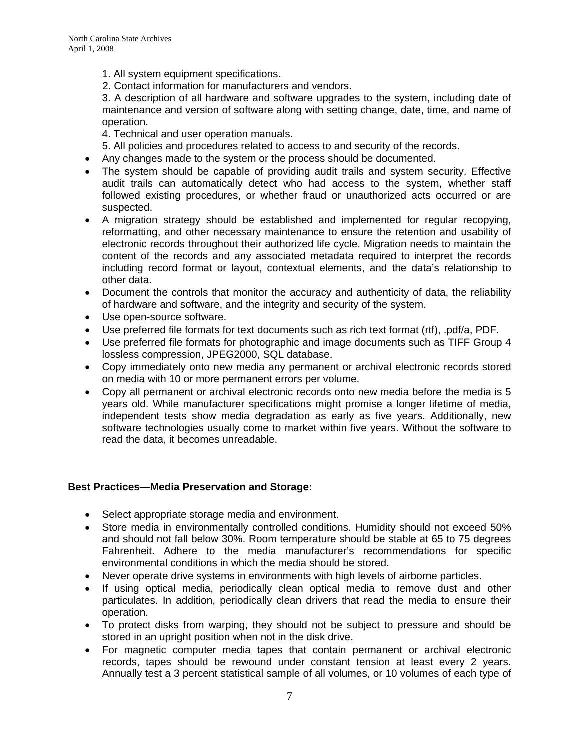1. All system equipment specifications.

2. Contact information for manufacturers and vendors.

3. A description of all hardware and software upgrades to the system, including date of maintenance and version of software along with setting change, date, time, and name of operation.

4. Technical and user operation manuals.

- 5. All policies and procedures related to access to and security of the records.
- Any changes made to the system or the process should be documented.
- The system should be capable of providing audit trails and system security. Effective audit trails can automatically detect who had access to the system, whether staff followed existing procedures, or whether fraud or unauthorized acts occurred or are suspected.
- A migration strategy should be established and implemented for regular recopying, reformatting, and other necessary maintenance to ensure the retention and usability of electronic records throughout their authorized life cycle. Migration needs to maintain the content of the records and any associated metadata required to interpret the records including record format or layout, contextual elements, and the data's relationship to other data.
- Document the controls that monitor the accuracy and authenticity of data, the reliability of hardware and software, and the integrity and security of the system.
- Use open-source software.
- Use preferred file formats for text documents such as rich text format (rtf), .pdf/a, PDF.
- Use preferred file formats for photographic and image documents such as TIFF Group 4 lossless compression, JPEG2000, SQL database.
- Copy immediately onto new media any permanent or archival electronic records stored on media with 10 or more permanent errors per volume.
- Copy all permanent or archival electronic records onto new media before the media is 5 years old. While manufacturer specifications might promise a longer lifetime of media, independent tests show media degradation as early as five years. Additionally, new software technologies usually come to market within five years. Without the software to read the data, it becomes unreadable.

### **Best Practices—Media Preservation and Storage:**

- Select appropriate storage media and environment.
- Store media in environmentally controlled conditions. Humidity should not exceed 50% and should not fall below 30%. Room temperature should be stable at 65 to 75 degrees Fahrenheit. Adhere to the media manufacturer's recommendations for specific environmental conditions in which the media should be stored.
- Never operate drive systems in environments with high levels of airborne particles.
- If using optical media, periodically clean optical media to remove dust and other particulates. In addition, periodically clean drivers that read the media to ensure their operation.
- To protect disks from warping, they should not be subject to pressure and should be stored in an upright position when not in the disk drive.
- For magnetic computer media tapes that contain permanent or archival electronic records, tapes should be rewound under constant tension at least every 2 years. Annually test a 3 percent statistical sample of all volumes, or 10 volumes of each type of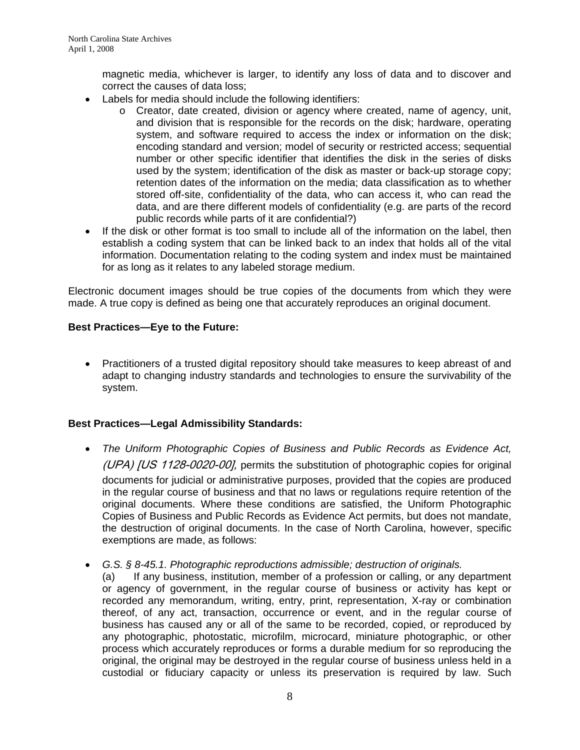magnetic media, whichever is larger, to identify any loss of data and to discover and correct the causes of data loss;

- Labels for media should include the following identifiers:
	- o Creator, date created, division or agency where created, name of agency, unit, and division that is responsible for the records on the disk; hardware, operating system, and software required to access the index or information on the disk; encoding standard and version; model of security or restricted access; sequential number or other specific identifier that identifies the disk in the series of disks used by the system; identification of the disk as master or back-up storage copy; retention dates of the information on the media; data classification as to whether stored off-site, confidentiality of the data, who can access it, who can read the data, and are there different models of confidentiality (e.g. are parts of the record public records while parts of it are confidential?)
- If the disk or other format is too small to include all of the information on the label, then establish a coding system that can be linked back to an index that holds all of the vital information. Documentation relating to the coding system and index must be maintained for as long as it relates to any labeled storage medium.

Electronic document images should be true copies of the documents from which they were made. A true copy is defined as being one that accurately reproduces an original document.

### **Best Practices—Eye to the Future:**

• Practitioners of a trusted digital repository should take measures to keep abreast of and adapt to changing industry standards and technologies to ensure the survivability of the system.

### **Best Practices—Legal Admissibility Standards:**

- *The Uniform Photographic Copies of Business and Public Records as Evidence Act,*  (UPA) [US 1128-0020-00], permits the substitution of photographic copies for original documents for judicial or administrative purposes, provided that the copies are produced in the regular course of business and that no laws or regulations require retention of the original documents. Where these conditions are satisfied, the Uniform Photographic Copies of Business and Public Records as Evidence Act permits, but does not mandate, the destruction of original documents. In the case of North Carolina, however, specific exemptions are made, as follows:
- *G.S. § 8-45.1. Photographic reproductions admissible; destruction of originals.*

(a) If any business, institution, member of a profession or calling, or any department or agency of government, in the regular course of business or activity has kept or recorded any memorandum, writing, entry, print, representation, X-ray or combination thereof, of any act, transaction, occurrence or event, and in the regular course of business has caused any or all of the same to be recorded, copied, or reproduced by any photographic, photostatic, microfilm, microcard, miniature photographic, or other process which accurately reproduces or forms a durable medium for so reproducing the original, the original may be destroyed in the regular course of business unless held in a custodial or fiduciary capacity or unless its preservation is required by law. Such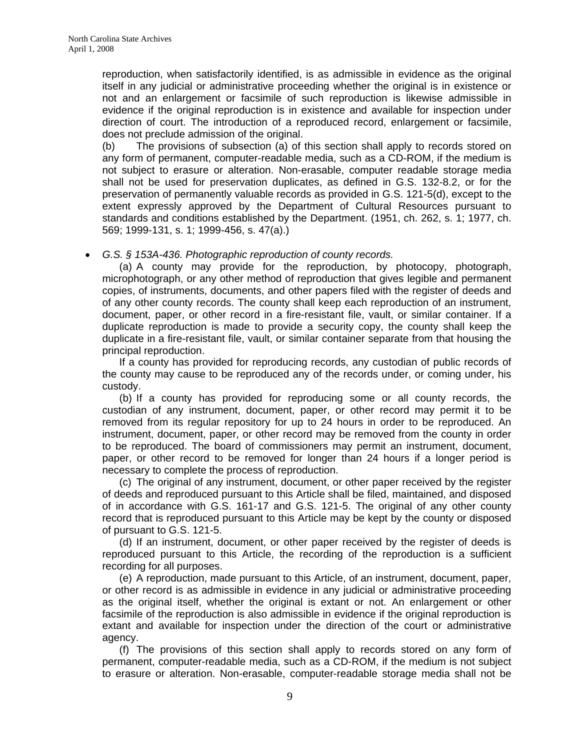reproduction, when satisfactorily identified, is as admissible in evidence as the original itself in any judicial or administrative proceeding whether the original is in existence or not and an enlargement or facsimile of such reproduction is likewise admissible in evidence if the original reproduction is in existence and available for inspection under direction of court. The introduction of a reproduced record, enlargement or facsimile, does not preclude admission of the original.

(b) The provisions of subsection (a) of this section shall apply to records stored on any form of permanent, computer-readable media, such as a CD-ROM, if the medium is not subject to erasure or alteration. Non-erasable, computer readable storage media shall not be used for preservation duplicates, as defined in G.S. 132-8.2, or for the preservation of permanently valuable records as provided in G.S. 121-5(d), except to the extent expressly approved by the Department of Cultural Resources pursuant to standards and conditions established by the Department. (1951, ch. 262, s. 1; 1977, ch. 569; 1999-131, s. 1; 1999-456, s. 47(a).)

• *G.S. § 153A-436. Photographic reproduction of county records.* 

(a) A county may provide for the reproduction, by photocopy, photograph, microphotograph, or any other method of reproduction that gives legible and permanent copies, of instruments, documents, and other papers filed with the register of deeds and of any other county records. The county shall keep each reproduction of an instrument, document, paper, or other record in a fire-resistant file, vault, or similar container. If a duplicate reproduction is made to provide a security copy, the county shall keep the duplicate in a fire-resistant file, vault, or similar container separate from that housing the principal reproduction.

If a county has provided for reproducing records, any custodian of public records of the county may cause to be reproduced any of the records under, or coming under, his custody.

(b) If a county has provided for reproducing some or all county records, the custodian of any instrument, document, paper, or other record may permit it to be removed from its regular repository for up to 24 hours in order to be reproduced. An instrument, document, paper, or other record may be removed from the county in order to be reproduced. The board of commissioners may permit an instrument, document, paper, or other record to be removed for longer than 24 hours if a longer period is necessary to complete the process of reproduction.

(c) The original of any instrument, document, or other paper received by the register of deeds and reproduced pursuant to this Article shall be filed, maintained, and disposed of in accordance with G.S. 161-17 and G.S. 121-5. The original of any other county record that is reproduced pursuant to this Article may be kept by the county or disposed of pursuant to G.S. 121-5.

(d) If an instrument, document, or other paper received by the register of deeds is reproduced pursuant to this Article, the recording of the reproduction is a sufficient recording for all purposes.

(e) A reproduction, made pursuant to this Article, of an instrument, document, paper, or other record is as admissible in evidence in any judicial or administrative proceeding as the original itself, whether the original is extant or not. An enlargement or other facsimile of the reproduction is also admissible in evidence if the original reproduction is extant and available for inspection under the direction of the court or administrative agency.

(f) The provisions of this section shall apply to records stored on any form of permanent, computer-readable media, such as a CD-ROM, if the medium is not subject to erasure or alteration. Non-erasable, computer-readable storage media shall not be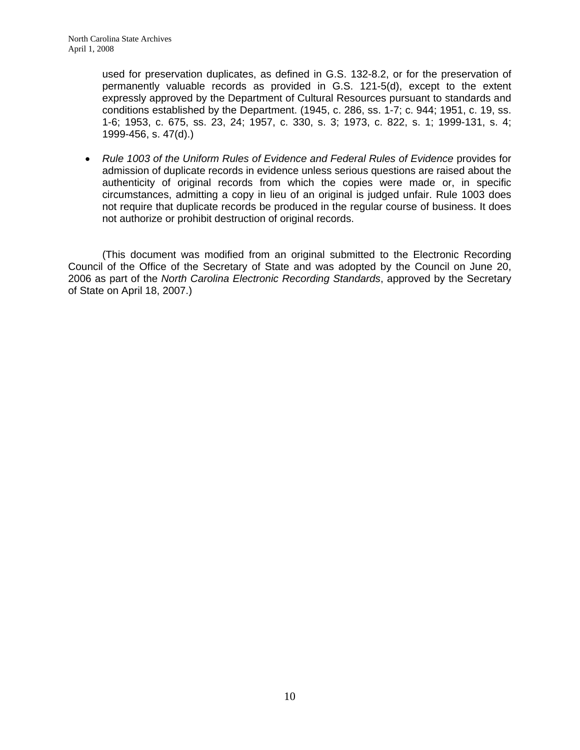used for preservation duplicates, as defined in G.S. 132-8.2, or for the preservation of permanently valuable records as provided in G.S. 121-5(d), except to the extent expressly approved by the Department of Cultural Resources pursuant to standards and conditions established by the Department. (1945, c. 286, ss. 1-7; c. 944; 1951, c. 19, ss. 1-6; 1953, c. 675, ss. 23, 24; 1957, c. 330, s. 3; 1973, c. 822, s. 1; 1999-131, s. 4; 1999-456, s. 47(d).)

• *Rule 1003 of the Uniform Rules of Evidence and Federal Rules of Evidence* provides for admission of duplicate records in evidence unless serious questions are raised about the authenticity of original records from which the copies were made or, in specific circumstances, admitting a copy in lieu of an original is judged unfair. Rule 1003 does not require that duplicate records be produced in the regular course of business. It does not authorize or prohibit destruction of original records.

(This document was modified from an original submitted to the Electronic Recording Council of the Office of the Secretary of State and was adopted by the Council on June 20, 2006 as part of the *North Carolina Electronic Recording Standards*, approved by the Secretary of State on April 18, 2007.)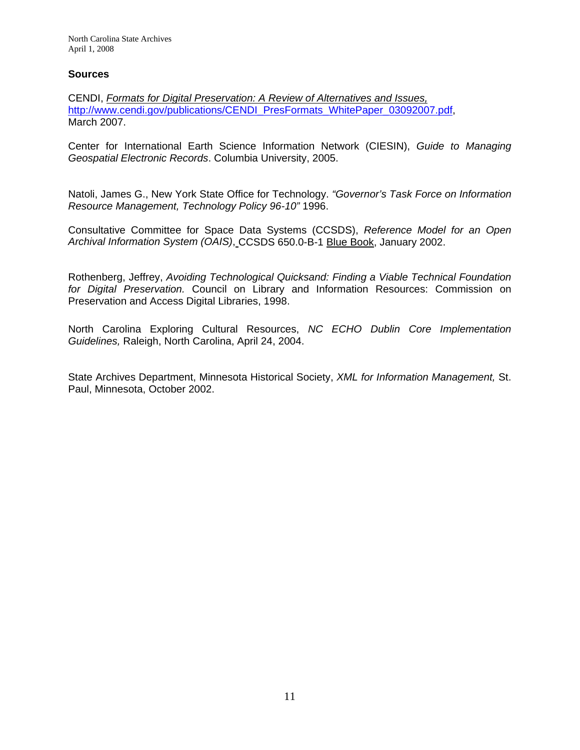#### **Sources**

CENDI, *Formats for Digital Preservation: A Review of Alternatives and Issues,*  [http://www.cendi.gov/publications/CENDI\\_PresFormats\\_WhitePaper\\_03092007.pdf,](http://www.cendi.gov/publications/CENDI_PresFormats_WhitePaper_03092007.pdf) March 2007.

Center for International Earth Science Information Network (CIESIN), *Guide to Managing Geospatial Electronic Records*. Columbia University, 2005.

Natoli, James G., New York State Office for Technology. *"Governor's Task Force on Information Resource Management, Technology Policy 96-10"* 1996.

Consultative Committee for Space Data Systems (CCSDS), *Reference Model for an Open Archival Information System (OAIS)*, CCSDS 650.0-B-1 Blue Book, January 2002.

Rothenberg, Jeffrey, *Avoiding Technological Quicksand: Finding a Viable Technical Foundation for Digital Preservation.* Council on Library and Information Resources: Commission on Preservation and Access Digital Libraries, 1998.

North Carolina Exploring Cultural Resources, *NC ECHO Dublin Core Implementation Guidelines,* Raleigh, North Carolina, April 24, 2004.

State Archives Department, Minnesota Historical Society, *XML for Information Management,* St. Paul, Minnesota, October 2002.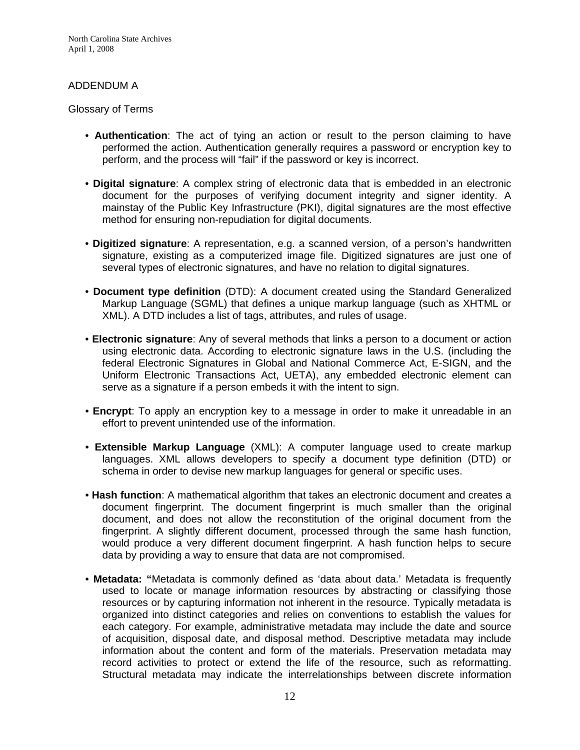North Carolina State Archives April 1, 2008

### ADDENDUM A

#### Glossary of Terms

- **Authentication**: The act of tying an action or result to the person claiming to have performed the action. Authentication generally requires a password or encryption key to perform, and the process will "fail" if the password or key is incorrect.
- **Digital signature**: A complex string of electronic data that is embedded in an electronic document for the purposes of verifying document integrity and signer identity. A mainstay of the Public Key Infrastructure (PKI), digital signatures are the most effective method for ensuring non-repudiation for digital documents.
- **Digitized signature**: A representation, e.g. a scanned version, of a person's handwritten signature, existing as a computerized image file. Digitized signatures are just one of several types of electronic signatures, and have no relation to digital signatures.
- **Document type definition** (DTD): A document created using the Standard Generalized Markup Language (SGML) that defines a unique markup language (such as XHTML or XML). A DTD includes a list of tags, attributes, and rules of usage.
- **Electronic signature**: Any of several methods that links a person to a document or action using electronic data. According to electronic signature laws in the U.S. (including the federal Electronic Signatures in Global and National Commerce Act, E-SIGN, and the Uniform Electronic Transactions Act, UETA), any embedded electronic element can serve as a signature if a person embeds it with the intent to sign.
- **Encrypt**: To apply an encryption key to a message in order to make it unreadable in an effort to prevent unintended use of the information.
- **Extensible Markup Language** (XML): A computer language used to create markup languages. XML allows developers to specify a document type definition (DTD) or schema in order to devise new markup languages for general or specific uses.
- **Hash function**: A mathematical algorithm that takes an electronic document and creates a document fingerprint. The document fingerprint is much smaller than the original document, and does not allow the reconstitution of the original document from the fingerprint. A slightly different document, processed through the same hash function, would produce a very different document fingerprint. A hash function helps to secure data by providing a way to ensure that data are not compromised.
- **Metadata: "**Metadata is commonly defined as 'data about data.' Metadata is frequently used to locate or manage information resources by abstracting or classifying those resources or by capturing information not inherent in the resource. Typically metadata is organized into distinct categories and relies on conventions to establish the values for each category. For example, administrative metadata may include the date and source of acquisition, disposal date, and disposal method. Descriptive metadata may include information about the content and form of the materials. Preservation metadata may record activities to protect or extend the life of the resource, such as reformatting. Structural metadata may indicate the interrelationships between discrete information